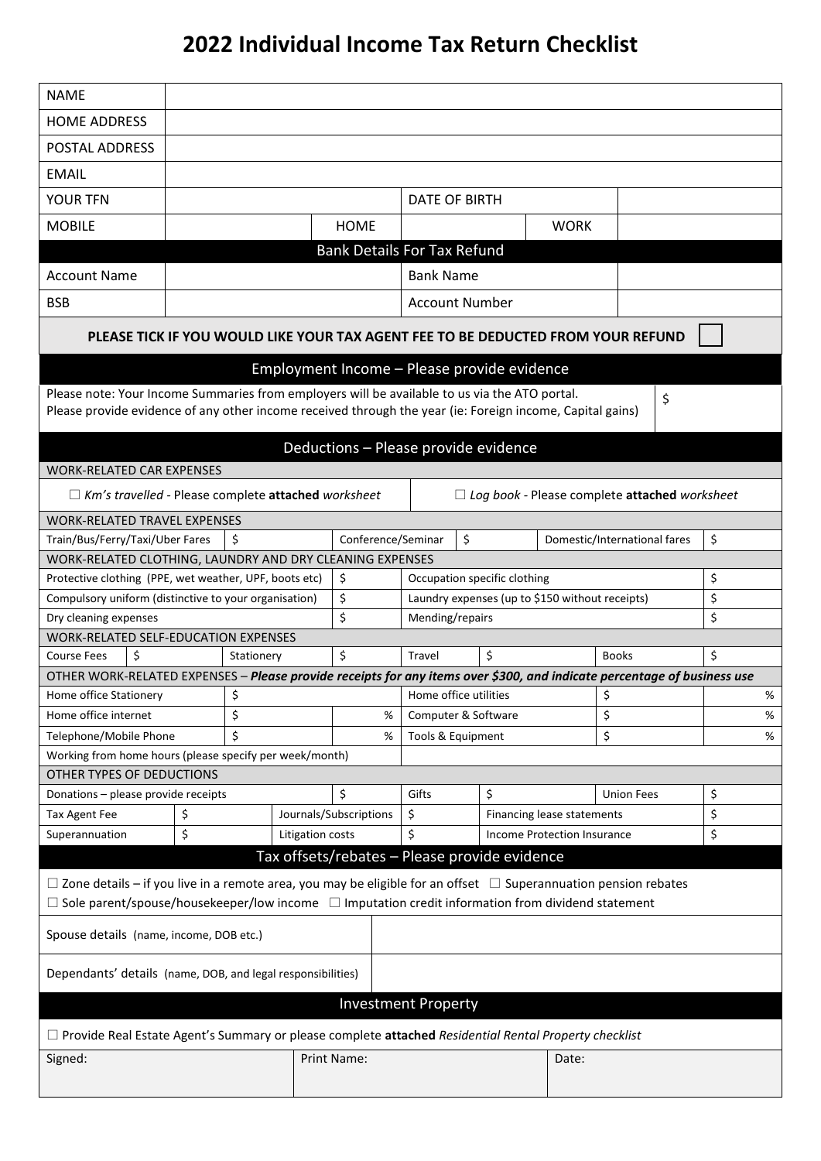## **2022 Individual Income Tax Return Checklist**

| <b>NAME</b>                                                                                                                 |                       |            |                  |                                               |                                                       |    |                              |             |                              |    |      |  |
|-----------------------------------------------------------------------------------------------------------------------------|-----------------------|------------|------------------|-----------------------------------------------|-------------------------------------------------------|----|------------------------------|-------------|------------------------------|----|------|--|
| <b>HOME ADDRESS</b>                                                                                                         |                       |            |                  |                                               |                                                       |    |                              |             |                              |    |      |  |
| POSTAL ADDRESS                                                                                                              |                       |            |                  |                                               |                                                       |    |                              |             |                              |    |      |  |
| <b>EMAIL</b>                                                                                                                |                       |            |                  |                                               |                                                       |    |                              |             |                              |    |      |  |
| YOUR TFN                                                                                                                    |                       |            |                  |                                               | <b>DATE OF BIRTH</b>                                  |    |                              |             |                              |    |      |  |
|                                                                                                                             |                       |            |                  |                                               |                                                       |    |                              |             |                              |    |      |  |
| <b>MOBILE</b>                                                                                                               |                       |            |                  | <b>HOME</b>                                   |                                                       |    |                              | <b>WORK</b> |                              |    |      |  |
|                                                                                                                             |                       |            |                  | <b>Bank Details For Tax Refund</b>            |                                                       |    |                              |             |                              |    |      |  |
| <b>Account Name</b>                                                                                                         | <b>Bank Name</b>      |            |                  |                                               |                                                       |    |                              |             |                              |    |      |  |
| <b>BSB</b>                                                                                                                  | <b>Account Number</b> |            |                  |                                               |                                                       |    |                              |             |                              |    |      |  |
| PLEASE TICK IF YOU WOULD LIKE YOUR TAX AGENT FEE TO BE DEDUCTED FROM YOUR REFUND                                            |                       |            |                  |                                               |                                                       |    |                              |             |                              |    |      |  |
| Employment Income - Please provide evidence                                                                                 |                       |            |                  |                                               |                                                       |    |                              |             |                              |    |      |  |
| Please note: Your Income Summaries from employers will be available to us via the ATO portal.                               |                       |            |                  |                                               |                                                       |    |                              |             |                              |    |      |  |
| Please provide evidence of any other income received through the year (ie: Foreign income, Capital gains)                   |                       |            |                  |                                               |                                                       |    |                              |             |                              | \$ |      |  |
| Deductions - Please provide evidence                                                                                        |                       |            |                  |                                               |                                                       |    |                              |             |                              |    |      |  |
| <b>WORK-RELATED CAR EXPENSES</b>                                                                                            |                       |            |                  |                                               |                                                       |    |                              |             |                              |    |      |  |
| $\Box$ Km's travelled - Please complete attached worksheet<br>$\Box$ Log book - Please complete attached worksheet          |                       |            |                  |                                               |                                                       |    |                              |             |                              |    |      |  |
| WORK-RELATED TRAVEL EXPENSES                                                                                                |                       |            |                  |                                               |                                                       |    |                              |             |                              |    |      |  |
| Train/Bus/Ferry/Taxi/Uber Fares                                                                                             |                       | \$         |                  | Conference/Seminar                            |                                                       | \$ |                              |             | Domestic/International fares |    | \$   |  |
| WORK-RELATED CLOTHING, LAUNDRY AND DRY CLEANING EXPENSES                                                                    |                       |            |                  |                                               |                                                       |    |                              |             |                              |    |      |  |
| Protective clothing (PPE, wet weather, UPF, boots etc)                                                                      |                       |            |                  | \$                                            |                                                       |    | Occupation specific clothing |             |                              |    | \$   |  |
| \$<br>Compulsory uniform (distinctive to your organisation)                                                                 |                       |            |                  |                                               | \$<br>Laundry expenses (up to \$150 without receipts) |    |                              |             |                              |    |      |  |
| Dry cleaning expenses                                                                                                       |                       |            |                  | \$                                            | Mending/repairs                                       |    |                              |             |                              |    | \$   |  |
| WORK-RELATED SELF-EDUCATION EXPENSES                                                                                        |                       |            |                  |                                               |                                                       |    |                              |             |                              |    |      |  |
| \$<br><b>Course Fees</b>                                                                                                    |                       | Stationery |                  | \$                                            | Travel                                                |    | \$                           |             | <b>Books</b>                 |    | \$   |  |
| OTHER WORK-RELATED EXPENSES - Please provide receipts for any items over \$300, and indicate percentage of business use     |                       |            |                  |                                               |                                                       |    |                              |             |                              |    |      |  |
| Home office Stationery                                                                                                      |                       | \$         |                  |                                               | Home office utilities                                 |    |                              | \$          |                              |    | $\%$ |  |
| \$<br>Home office internet                                                                                                  |                       |            | %                | Computer & Software                           |                                                       |    | \$                           |             |                              | %  |      |  |
| Telephone/Mobile Phone<br>Working from home hours (please specify per week/month)                                           |                       | \$         |                  |                                               | %<br>Tools & Equipment                                |    |                              | \$          |                              |    | %    |  |
| OTHER TYPES OF DEDUCTIONS                                                                                                   |                       |            |                  |                                               |                                                       |    |                              |             |                              |    |      |  |
| Donations - please provide receipts                                                                                         |                       |            |                  | \$                                            | Gifts                                                 |    | \$                           |             | <b>Union Fees</b>            |    | \$   |  |
| Tax Agent Fee                                                                                                               | \$                    |            |                  | Journals/Subscriptions                        |                                                       |    | Financing lease statements   |             |                              |    | \$   |  |
| Superannuation                                                                                                              | \$                    |            | Litigation costs |                                               | \$<br>\$<br>Income Protection Insurance               |    |                              | \$          |                              |    |      |  |
|                                                                                                                             |                       |            |                  | Tax offsets/rebates - Please provide evidence |                                                       |    |                              |             |                              |    |      |  |
|                                                                                                                             |                       |            |                  |                                               |                                                       |    |                              |             |                              |    |      |  |
| $\Box$ Zone details – if you live in a remote area, you may be eligible for an offset $\Box$ Superannuation pension rebates |                       |            |                  |                                               |                                                       |    |                              |             |                              |    |      |  |
| $\Box$ Sole parent/spouse/housekeeper/low income $\Box$ Imputation credit information from dividend statement               |                       |            |                  |                                               |                                                       |    |                              |             |                              |    |      |  |
| Spouse details (name, income, DOB etc.)                                                                                     |                       |            |                  |                                               |                                                       |    |                              |             |                              |    |      |  |
| Dependants' details (name, DOB, and legal responsibilities)                                                                 |                       |            |                  |                                               |                                                       |    |                              |             |                              |    |      |  |
| <b>Investment Property</b>                                                                                                  |                       |            |                  |                                               |                                                       |    |                              |             |                              |    |      |  |
| □ Provide Real Estate Agent's Summary or please complete attached Residential Rental Property checklist                     |                       |            |                  |                                               |                                                       |    |                              |             |                              |    |      |  |
| Signed:<br>Print Name:<br>Date:                                                                                             |                       |            |                  |                                               |                                                       |    |                              |             |                              |    |      |  |
|                                                                                                                             |                       |            |                  |                                               |                                                       |    |                              |             |                              |    |      |  |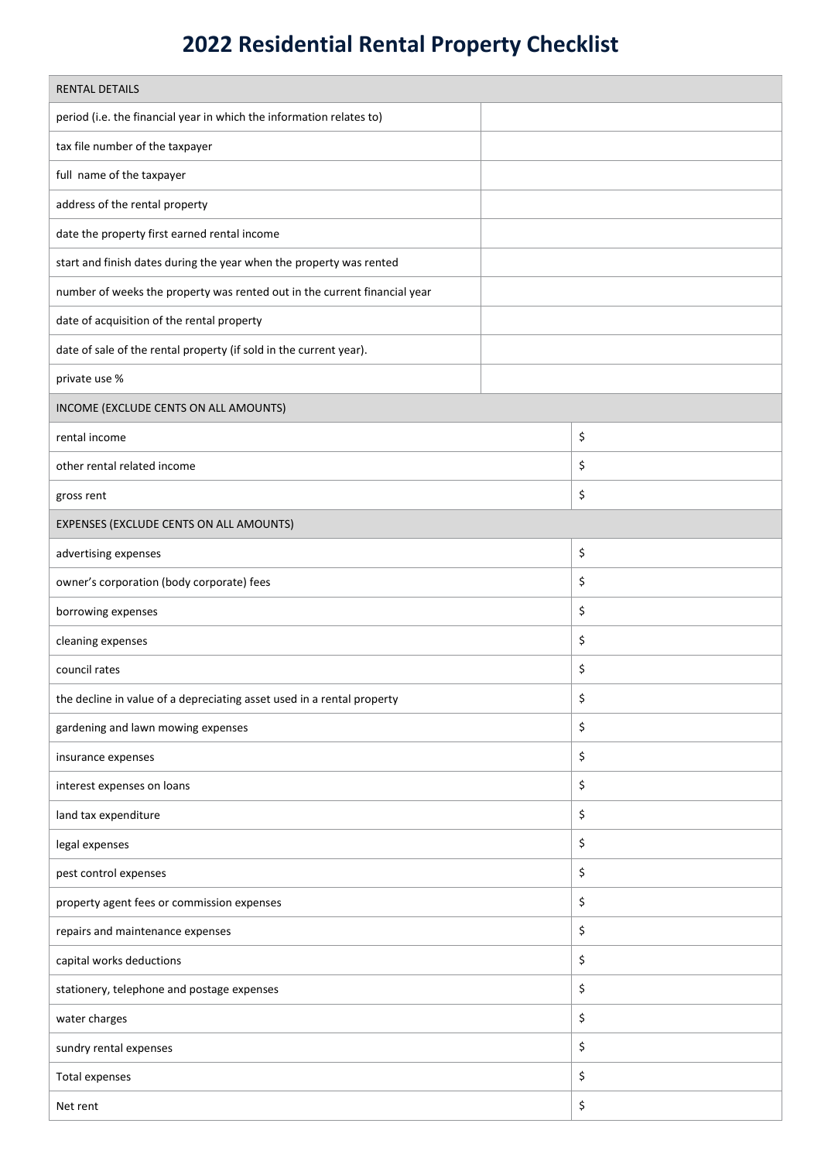## **2022 Residential Rental Property Checklist**

| <b>RENTAL DETAILS</b>                                                     |    |  |  |  |  |  |
|---------------------------------------------------------------------------|----|--|--|--|--|--|
|                                                                           |    |  |  |  |  |  |
| period (i.e. the financial year in which the information relates to)      |    |  |  |  |  |  |
| tax file number of the taxpayer                                           |    |  |  |  |  |  |
| full name of the taxpayer                                                 |    |  |  |  |  |  |
| address of the rental property                                            |    |  |  |  |  |  |
| date the property first earned rental income                              |    |  |  |  |  |  |
| start and finish dates during the year when the property was rented       |    |  |  |  |  |  |
| number of weeks the property was rented out in the current financial year |    |  |  |  |  |  |
| date of acquisition of the rental property                                |    |  |  |  |  |  |
| date of sale of the rental property (if sold in the current year).        |    |  |  |  |  |  |
| private use %                                                             |    |  |  |  |  |  |
| INCOME (EXCLUDE CENTS ON ALL AMOUNTS)                                     |    |  |  |  |  |  |
| rental income                                                             | \$ |  |  |  |  |  |
| other rental related income                                               | \$ |  |  |  |  |  |
| gross rent                                                                | \$ |  |  |  |  |  |
| EXPENSES (EXCLUDE CENTS ON ALL AMOUNTS)                                   |    |  |  |  |  |  |
| advertising expenses                                                      | \$ |  |  |  |  |  |
| owner's corporation (body corporate) fees                                 | \$ |  |  |  |  |  |
| borrowing expenses                                                        | \$ |  |  |  |  |  |
| cleaning expenses                                                         | \$ |  |  |  |  |  |
| council rates                                                             | \$ |  |  |  |  |  |
| the decline in value of a depreciating asset used in a rental property    | \$ |  |  |  |  |  |
| gardening and lawn mowing expenses                                        | \$ |  |  |  |  |  |
| insurance expenses                                                        | \$ |  |  |  |  |  |
| interest expenses on loans                                                | \$ |  |  |  |  |  |
| land tax expenditure                                                      | \$ |  |  |  |  |  |
| legal expenses                                                            | \$ |  |  |  |  |  |
| pest control expenses                                                     | \$ |  |  |  |  |  |
| property agent fees or commission expenses                                | \$ |  |  |  |  |  |
| repairs and maintenance expenses                                          | \$ |  |  |  |  |  |
| capital works deductions                                                  | \$ |  |  |  |  |  |
| stationery, telephone and postage expenses                                | \$ |  |  |  |  |  |
| water charges                                                             | \$ |  |  |  |  |  |
| sundry rental expenses                                                    | \$ |  |  |  |  |  |
| Total expenses                                                            | \$ |  |  |  |  |  |
| Net rent                                                                  | \$ |  |  |  |  |  |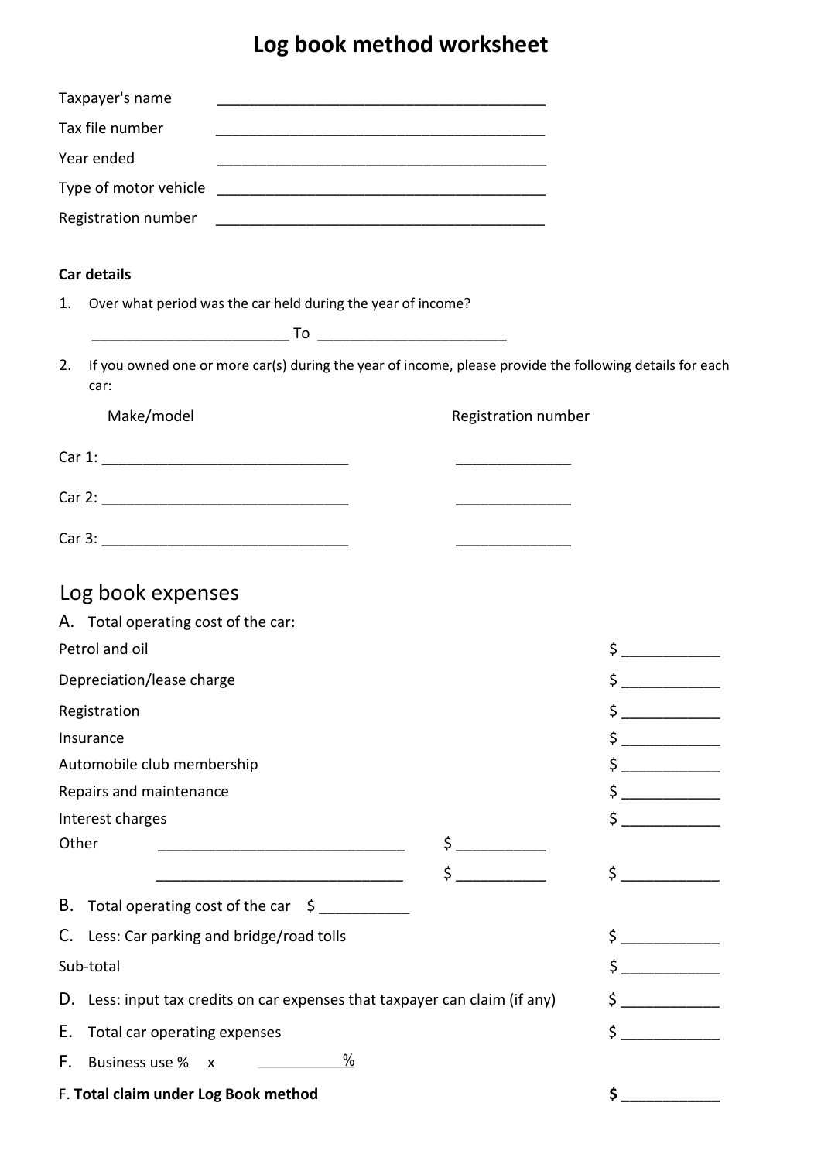## **Log book method worksheet**

|       | Taxpayer's name                                                                                                  | <u> 1980 - John Stein, Amerikaansk politiker (</u> † 1920) |                                      |
|-------|------------------------------------------------------------------------------------------------------------------|------------------------------------------------------------|--------------------------------------|
|       | Tax file number                                                                                                  | <u> 1980 - Johann Barnett, fransk politiker (d. 1980)</u>  |                                      |
|       | Year ended                                                                                                       |                                                            |                                      |
|       | Type of motor vehicle                                                                                            |                                                            |                                      |
|       | Registration number                                                                                              |                                                            |                                      |
|       |                                                                                                                  |                                                            |                                      |
|       | <b>Car details</b>                                                                                               |                                                            |                                      |
| 1.    | Over what period was the car held during the year of income?                                                     |                                                            |                                      |
|       |                                                                                                                  |                                                            |                                      |
| 2.    | If you owned one or more car(s) during the year of income, please provide the following details for each<br>car: |                                                            |                                      |
|       | Make/model                                                                                                       | Registration number                                        |                                      |
|       |                                                                                                                  | <u> 1989 - Johann Barbara, martin a</u>                    |                                      |
|       |                                                                                                                  |                                                            |                                      |
|       |                                                                                                                  | <u> 1980 - Johann Barbara, martin a</u>                    |                                      |
|       |                                                                                                                  |                                                            |                                      |
|       | Log book expenses                                                                                                |                                                            |                                      |
|       | A. Total operating cost of the car:                                                                              |                                                            |                                      |
|       | Petrol and oil                                                                                                   |                                                            | $\frac{1}{2}$                        |
|       | Depreciation/lease charge                                                                                        |                                                            |                                      |
|       | Registration                                                                                                     |                                                            | \$                                   |
|       | Insurance                                                                                                        |                                                            | $\frac{1}{2}$                        |
|       | Automobile club membership                                                                                       |                                                            | <u>a sa mga salawang ng mga sang</u> |
|       | Repairs and maintenance                                                                                          |                                                            | $\frac{1}{2}$                        |
|       | Interest charges                                                                                                 |                                                            | $\zeta$                              |
| Other |                                                                                                                  | $\frac{1}{2}$                                              |                                      |
|       |                                                                                                                  | $\sharp$                                                   | $\zeta$                              |
|       | B. Total operating cost of the car \$                                                                            |                                                            |                                      |
|       | C. Less: Car parking and bridge/road tolls                                                                       |                                                            | $\frac{1}{\sqrt{2}}$                 |
|       | Sub-total                                                                                                        | $\zeta$                                                    |                                      |
|       | D. Less: input tax credits on car expenses that taxpayer can claim (if any)                                      |                                                            | \$                                   |
| Е.    | Total car operating expenses                                                                                     |                                                            | $\sharp$                             |
| F.    | $\frac{0}{0}$<br>Business use %<br>$\mathsf{X}$                                                                  |                                                            |                                      |
|       | F. Total claim under Log Book method                                                                             |                                                            | \$                                   |